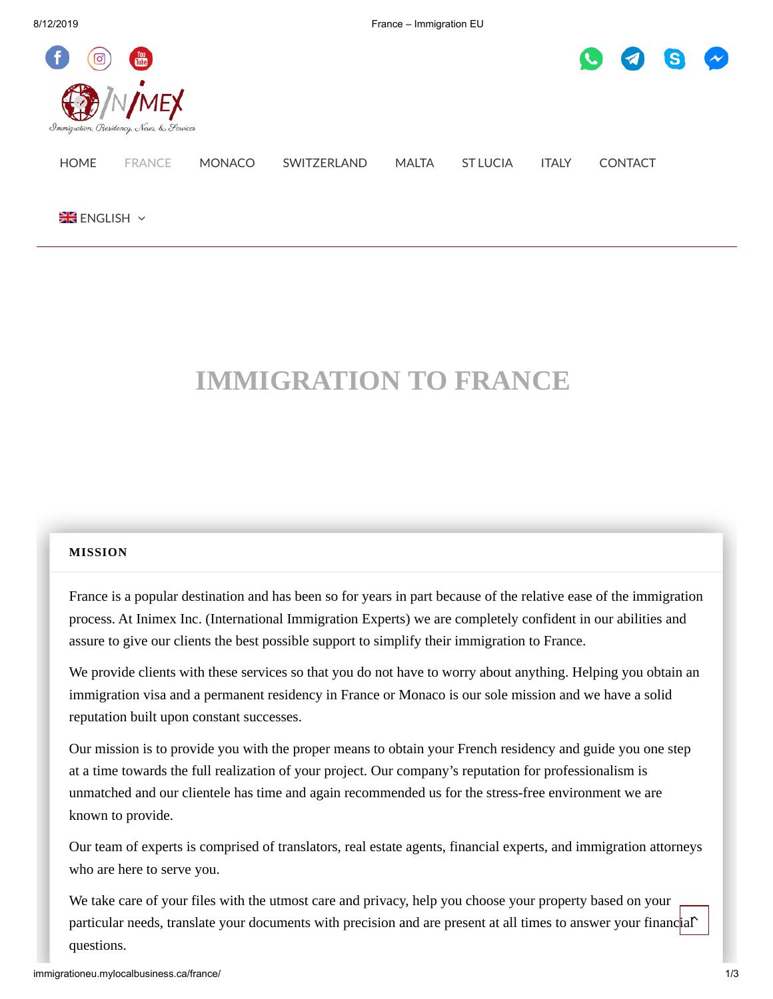8/12/2019 France – Immigration EU





# [HOME](http://immigrationeu.mylocalbusiness.ca/) [FRANCE](http://immigrationeu.mylocalbusiness.ca/france/) [MONACO](http://immigrationeu.mylocalbusiness.ca/monaco/) [SWITZERLAND](http://immigrationeu.mylocalbusiness.ca/switzerland/) [MALTA](http://immigrationeu.mylocalbusiness.ca/malta/) ST [LUCIA](http://immigrationeu.mylocalbusiness.ca/st-lucia/) [ITALY](http://immigrationeu.mylocalbusiness.ca/italy/) [CONTACT](http://immigrationeu.mylocalbusiness.ca/contact/)

**[ENGLISH](http://immigrationeu.mylocalbusiness.ca/france/)** Y

## **IMMIGRATION TO FRANCE**

#### <span id="page-0-0"></span>**[MISSION](#page-0-0)**

France is a popular destination and has been so for years in part because of the relative ease of the immigration process. At Inimex Inc. (International Immigration Experts) we are completely confident in our abilities and assure to give our clients the best possible support to simplify their immigration to France.

We provide clients with these services so that you do not have to worry about anything. Helping you obtain an immigration visa and a permanent residency in France or Monaco is our sole mission and we have a solid reputation built upon constant successes.

Our mission is to provide you with the proper means to obtain your French residency and guide you one step at a time towards the full realization of your project. Our company's reputation for professionalism is unmatched and our clientele has time and again recommended us for the stress-free environment we are known to provide.

Our team of experts is comprised of translators, real estate agents, financial experts, and immigration attorneys who are here to serve you.

We take care of your files with the utmost care and privacy, help you choose your property based on your particular needs, translate your documents with precision and are present at all times to answer your financ<mark>ial^</mark> questions.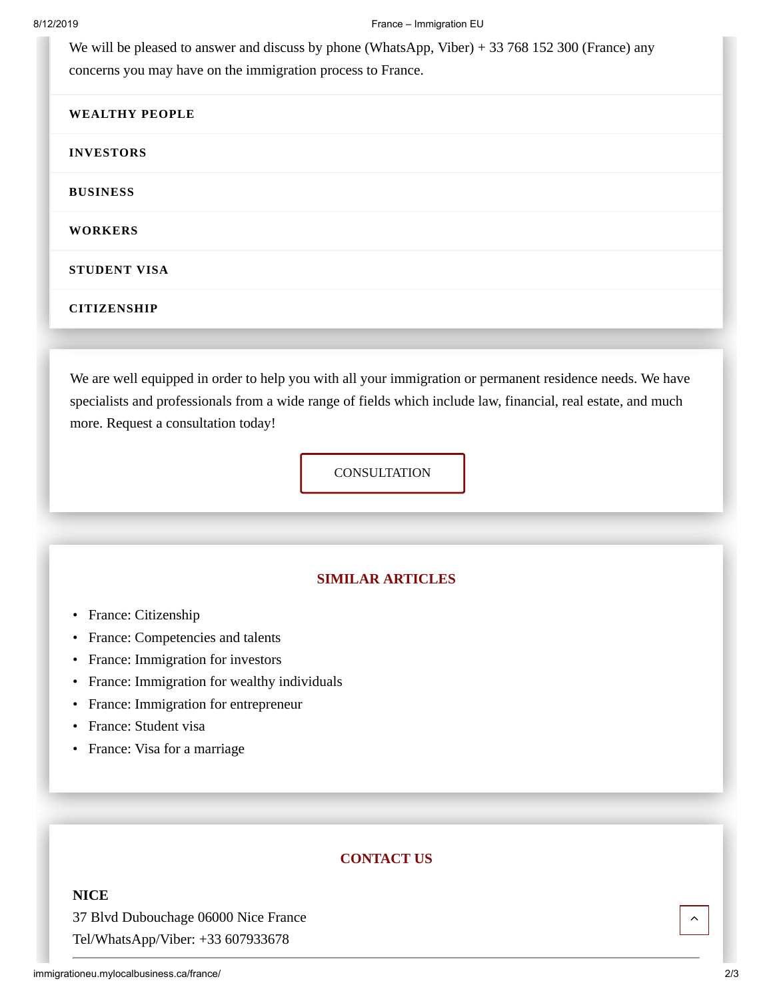We will be pleased to answer and discuss by phone (WhatsApp, Viber) + 33 768 152 300 (France) any concerns you may have on the immigration process to France.

### <span id="page-1-0"></span>**[WEALTHY](#page-1-0) PEOPLE**

### <span id="page-1-1"></span>**[INVESTORS](#page-1-1)**

<span id="page-1-2"></span>**[BUSINESS](#page-1-2)**

<span id="page-1-3"></span>**[WORKERS](#page-1-3)**

<span id="page-1-4"></span>**[STUDENT](#page-1-4) VISA**

<span id="page-1-5"></span>**[CITIZENSHIP](#page-1-5)**

We are well equipped in order to help you with all your immigration or permanent residence needs. We have specialists and professionals from a wide range of fields which include law, financial, real estate, and much more. Request a consultation today!

**[CONSULTATION](http://immigrationeu.mylocalbusiness.ca/consultation/)** 

## **SIMILAR ARTICLES**

- France: [Citizenship](http://immigrationeu.mylocalbusiness.ca/naturalization-in-france/)
- France: [Competencies](http://immigrationeu.mylocalbusiness.ca/france-competencies-and-talents/) and talents
- France: [Immigration](http://immigrationeu.mylocalbusiness.ca/france-immigration-for-investors/) for investors
- France: [Immigration](http://immigrationeu.mylocalbusiness.ca/france-residence-permit-for-wealthy-people/) for wealthy individuals
- France: Immigration for [entrepreneur](http://immigrationeu.mylocalbusiness.ca/france-immigration-for-entrepreneur/)
- France: [Student](http://immigrationeu.mylocalbusiness.ca/france-student-visa/) visa
- France: Visa for a [marriage](http://immigrationeu.mylocalbusiness.ca/france-visa-for-a-marriage/)

## **CONTACT US**

## **NICE**

37 Blvd Dubouchage 06000 Nice France Tel/WhatsApp/Viber: +33 607933678

 $\lambda$